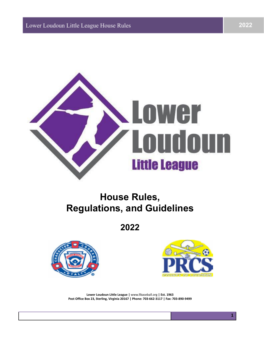

## **House Rules, Regulations, and Guidelines**

**2022**





**1**

**Lower Loudoun Little League |** www.llbaseball.org **| Est. 1963 Post Office Box 23, Sterling, Virginia 20167 | Phone: 703-662-3117 | Fax: 703-890-9499**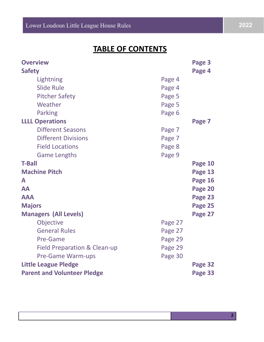## **TABLE OF CONTENTS**

| <b>Overview</b>                    |         | Page 3  |  |  |
|------------------------------------|---------|---------|--|--|
| <b>Safety</b>                      |         | Page 4  |  |  |
| Lightning                          | Page 4  |         |  |  |
| <b>Slide Rule</b>                  | Page 4  |         |  |  |
| <b>Pitcher Safety</b>              | Page 5  |         |  |  |
| Weather                            | Page 5  |         |  |  |
| <b>Parking</b>                     | Page 6  |         |  |  |
| <b>LLLL Operations</b>             |         | Page 7  |  |  |
| <b>Different Seasons</b>           | Page 7  |         |  |  |
| <b>Different Divisions</b>         | Page 7  |         |  |  |
| <b>Field Locations</b>             | Page 8  |         |  |  |
| <b>Game Lengths</b>                | Page 9  |         |  |  |
| <b>T-Ball</b>                      |         | Page 10 |  |  |
| <b>Machine Pitch</b>               |         | Page 13 |  |  |
| A                                  |         | Page 16 |  |  |
| <b>AA</b>                          |         | Page 20 |  |  |
| <b>AAA</b>                         |         | Page 23 |  |  |
| <b>Majors</b>                      |         | Page 25 |  |  |
| <b>Managers (All Levels)</b>       |         | Page 27 |  |  |
| Objective                          | Page 27 |         |  |  |
| <b>General Rules</b>               | Page 27 |         |  |  |
| Pre-Game                           | Page 29 |         |  |  |
| Field Preparation & Clean-up       | Page 29 |         |  |  |
| <b>Pre-Game Warm-ups</b>           | Page 30 |         |  |  |
| <b>Little League Pledge</b>        |         | Page 32 |  |  |
| <b>Parent and Volunteer Pledge</b> |         |         |  |  |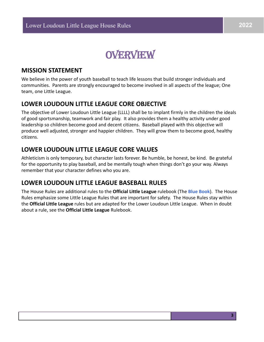

#### **MISSION STATEMENT**

We believe in the power of youth baseball to teach life lessons that build stronger individuals and communities. Parents are strongly encouraged to become involved in all aspects of the league; One team, one Little League.

### **LOWER LOUDOUN LITTLE LEAGUE CORE OBJECTIVE**

The objective of Lower Loudoun Little League (LLLL) shall be to implant firmly in the children the ideals of good sportsmanship, teamwork and fair play. It also provides them a healthy activity under good leadership so children become good and decent citizens. Baseball played with this objective will produce well adjusted, stronger and happier children. They will grow them to become good, healthy citizens.

### **LOWER LOUDOUN LITTLE LEAGUE CORE VALUES**

Athleticism is only temporary, but character lasts forever. Be humble, be honest, be kind. Be grateful for the opportunity to play baseball, and be mentally tough when things don't go your way. Always remember that your character defines who you are.

### **LOWER LOUDOUN LITTLE LEAGUE BASEBALL RULES**

The House Rules are additional rules to the **Official Little League** rulebook (The **Blue Book**). The House Rules emphasize some Little League Rules that are important for safety. The House Rules stay within the **Official Little League** rules but are adapted for the Lower Loudoun Little League. When in doubt about a rule, see the **Official Little League** Rulebook.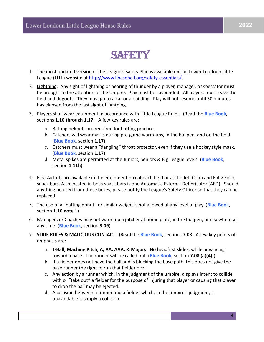## SARETTY

- 1. The most updated version of the League's Safety Plan is available on the Lower Loudoun Little League (LLLL) website at [http://www.llbaseball.org/safety-essentials/.](http://www.llbaseball.org/safety-essentials/%20)
- 2. **Lightning**: Any sight of lightning or hearing of thunder by a player, manager, or spectator must be brought to the attention of the Umpire. Play must be suspended. All players must leave the field and dugouts. They must go to a car or a building. Play will not resume until 30 minutes has elapsed from the last sight of lightning.
- 3. Players shall wear equipment in accordance with Little League Rules. (Read the **Blue Book**, sections **1.10 through 1.17**) A few key rules are:
	- a. Batting helmets are required for batting practice.
	- b. Catchers will wear masks during pre-game warm-ups, in the bullpen, and on the field (**Blue Book**, section **1.17**)
	- c. Catchers must wear a "dangling" throat protector, even if they use a hockey style mask. (**Blue Book**, section **1.17**)
	- d. Metal spikes are permitted at the Juniors, Seniors & Big League levels. (**Blue Book**, section **1.11h**)
- 4. First Aid kits are available in the equipment box at each field or at the Jeff Cobb and Foltz Field snack bars. Also located in both snack bars is one Automatic External Defibrillator (AED). Should anything be used from these boxes, please notify the League's Safety Officer so that they can be replaced.
- 5. The use of a "batting donut" or similar weight is not allowed at any level of play. (**Blue Book**, section **1.10 note 1**)
- 6. Managers or Coaches may not warm up a pitcher at home plate, in the bullpen, or elsewhere at any time. (**Blue Book**, section **3.09**)
- 7. **SLIDE RULES & MALICIOUS CONTACT**: (Read the **Blue Book**, sections **7.08.** A few key points of emphasis are:
	- a. **T-Ball, Machine Pitch, A, AA, AAA, & Majors**: No headfirst slides, while advancing toward a base. The runner will be called out. (**Blue Book**, section **7.08 (a)(4))**)
	- b. If a fielder does not have the ball and is blocking the base path, this does not give the base runner the right to run that fielder over.
	- c. Any action by a runner which, in the judgment of the umpire, displays intent to collide with or "take out" a fielder for the purpose of injuring that player or causing that player to drop the ball may be ejected.
	- d. A collision between a runner and a fielder which, in the umpire's judgment, is unavoidable is simply a collision.

**4**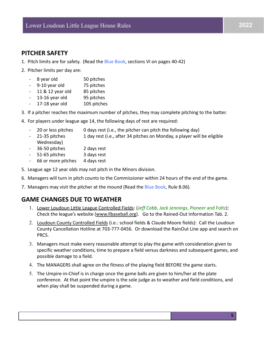### **PITCHER SAFETY**

- 1. Pitch limits are for safety. (Read the Blue Book, sections VI on pages 40-42)
- 2. Pitcher limits per day are:
	- 8 year old 50 pitches
	- 9-10 year old 75 pitches
	- 11 & 12 year old 85 pitches
	- 13-16 year old 95 pitches
	- 17-18 year old 105 pitches
- 3. If a pitcher reaches the maximum number of pitches, they may complete pitching to the batter.
- 4. For players under league age 14, the following days of rest are required:
	- 20 or less pitches 0 days rest (i.e., the pitcher can pitch the following day)
	- 21-35 pitches 1 day rest (i.e., after 34 pitches on Monday, a player will be eligible Wednesday)
	- 36-50 pitches 2 days rest
	- 51-65 pitches 3 days rest
	- 66 or more pitches 4 days rest
- 5. League age 12 year olds may not pitch in the Minors division.
- 6. Managers will turn in pitch counts to the Commissioner within 24 hours of the end of the game.
- 7. Managers may visit the pitcher at the mound (Read the Blue Book, Rule 8.06).

### **GAME CHANGES DUE TO WEATHER**

- 1. Lower Loudoun Little League Controlled Fields: (*Jeff Cobb*, *Jack Jennings*, *Pioneer* and Foltz): Check the league's website [\(www.llbaseball.org\)](http://www.leaguelineup.com). Go to the Rained-Out Information Tab. 2.
- 2. Loudoun County Controlled Fields (i.e.: school fields & Claude Moore fields): Call the Loudoun County Cancellation Hotline at 703-777-0456. Or download the RainOut Line app and search on PRCS.
- 3. Managers must make every reasonable attempt to play the game with consideration given to specific weather conditions, time to prepare a field versus darkness and subsequent games, and possible damage to a field.
- 4. The MANAGERS shall agree on the fitness of the playing field BEFORE the game starts.
- 5. The Umpire-in-Chief is in charge once the game balls are given to him/her at the plate conference. At that point the umpire is the sole judge as to weather and field conditions, and when play shall be suspended during a game.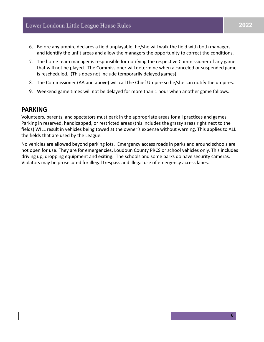- 6. Before any umpire declares a field unplayable, he/she will walk the field with both managers and identify the unfit areas and allow the managers the opportunity to correct the conditions.
- 7. The home team manager is responsible for notifying the respective Commissioner of any game that will not be played. The Commissioner will determine when a canceled or suspended game is rescheduled. (This does not include temporarily delayed games).
- 8. The Commissioner (AA and above) will call the Chief Umpire so he/she can notify the umpires.
- 9. Weekend game times will not be delayed for more than 1 hour when another game follows.

#### **PARKING**

Volunteers, parents, and spectators must park in the appropriate areas for all practices and games. Parking in reserved, handicapped, or restricted areas (this includes the grassy areas right next to the fields) WILL result in vehicles being towed at the owner's expense without warning. This applies to ALL the fields that are used by the League.

No vehicles are allowed beyond parking lots. Emergency access roads in parks and around schools are not open for use. They are for emergencies, Loudoun County PRCS or school vehicles only. This includes driving up, dropping equipment and exiting. The schools and some parks do have security cameras. Violators may be prosecuted for illegal trespass and illegal use of emergency access lanes.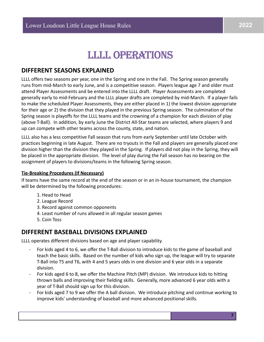## LLLL OPERATIONS

### **DIFFERENT SEASONS EXPLAINED**

LLLL offers two seasons per year, one in the Spring and one in the Fall. The Spring season generally runs from mid-March to early June, and is a competitive season. Players league age 7 and older must attend Player Assessments and be entered into the LLLL draft. Player Assessments are completed generally early to mid-February and the LLLL player drafts are completed by mid-March. If a player fails to make the scheduled Player Assessments, they are either placed in 1) the lowest division appropriate for their age or 2) the division that they played in the previous Spring season. The culmination of the Spring season is playoffs for the LLLL teams and the crowning of a champion for each division of play (above T-Ball). In addition, by early June the District All-Star teams are selected, where players 9 and up can compete with other teams across the county, state, and nation.

LLLL also has a less competitive Fall season that runs from early September until late October with practices beginning in late August. There are no tryouts in the Fall and players are generally placed one division higher than the division they played in the Spring. If players did not play in the Spring, they will be placed in the appropriate division. The level of play during the Fall season has no bearing on the assignment of players to divisions/teams in the following Spring season.

#### **Tie-Breaking Procedures (If Necessary)**

If teams have the same record at the end of the season or in an in-house tournament, the champion will be determined by the following procedures:

- 1. Head to Head
- 2. League Record
- 3. Record against common opponents
- 4. Least number of runs allowed in all regular season games
- 5. Coin Toss

### **DIFFERENT BASEBALL DIVISIONS EXPLAINED**

LLLL operates different divisions based on age and player capability.

- For kids aged 4 to 6, we offer the T-Ball division to introduce kids to the game of baseball and teach the basic skills. Based on the number of kids who sign up, the league will try to separate T-Ball into T5 and T6, with 4 and 5 years olds in one division and 6 year olds in a separate division.
- For kids aged 6 to 8, we offer the Machine Pitch (MP) division. We introduce kids to hitting thrown balls and improving their fielding skills. Generally, more advanced 6 year olds with a year of T-Ball should sign up for this division.
- For kids aged 7 to 9 we offer the A ball division. We introduce pitching and continue working to improve kids' understanding of baseball and more advanced positional skills.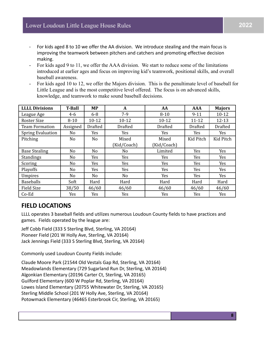- For kids aged 8 to 10 we offer the AA division. We introduce stealing and the main focus is improving the teamwork between pitchers and catchers and promoting effective decision making.
- For kids aged 9 to 11, we offer the AAA division. We start to reduce some of the limitations introduced at earlier ages and focus on improving kid's teamwork, positional skills, and overall baseball awareness.
- For kids aged 10 to 12, we offer the Majors division. This is the penultimate level of baseball for Little League and is the most competitive level offered. The focus is on advanced skills, knowledge, and teamwork to make sound baseball decisions.

| <b>LLLL Divisions</b>    | <b>T-Ball</b> | <b>MP</b>      | A              | AA             | <b>AAA</b>     | <b>Majors</b>  |
|--------------------------|---------------|----------------|----------------|----------------|----------------|----------------|
| League Age               | $4 - 6$       | $6 - 8$        | $7-9$          | $8 - 10$       | $9 - 11$       | $10 - 12$      |
| <b>Roster Size</b>       | $8 - 10$      | $10 - 12$      | $10 - 12$      | $10 - 12$      | $11 - 12$      | $12 - 13$      |
| <b>Team Formation</b>    | Assigned      | <b>Drafted</b> | <b>Drafted</b> | <b>Drafted</b> | <b>Drafted</b> | <b>Drafted</b> |
| <b>Spring Evaluation</b> | No            | Yes            | Yes            | Yes            | Yes            | Yes            |
| Pitching                 | No            | No             | Mixed          | Mixed          | Kid Pitch      | Kid Pitch      |
|                          |               |                | (Kid/Coach)    | (Kid/Coach)    |                |                |
| <b>Base Stealing</b>     | No            | No             | No             | Limited        | Yes            | Yes            |
| Standings                | No            | Yes            | Yes            | Yes            | Yes            | Yes            |
| Scoring                  | No            | Yes            | Yes            | Yes            | Yes            | Yes            |
| Playoffs                 | No            | Yes            | Yes            | Yes            | Yes            | Yes            |
| <b>Umpires</b>           | No            | No             | No             | Yes            | Yes            | Yes            |
| <b>Baseballs</b>         | Soft          | Hard           | Hard           | Hard           | Hard           | Hard           |
| <b>Field Size</b>        | 38/50         | 46/60          | 46/60          | 46/60          | 46/60          | 46/60          |
| $Co-Ed$                  | Yes           | Yes            | Yes            | Yes            | Yes            | Yes            |

### **FIELD LOCATIONS**

LLLL operates 3 baseball fields and utilizes numerous Loudoun County fields to have practices and games. Fields operated by the league are:

Jeff Cobb Field (333 S Sterling Blvd, Sterling, VA 20164) Pioneer Field (201 W Holly Ave, Sterling, VA 20164) Jack Jennings Field (333 S Sterling Blvd, Sterling, VA 20164)

Commonly used Loudoun County Fields include:

Claude Moore Park (21544 Old Vestals Gap Rd, Sterling, VA 20164) Meadowlands Elementary (729 Sugarland Run Dr, Sterling, VA 20164) Algonkian Elementary (20196 Carter Ct, Sterling, VA 20165) Guilford Elementary (600 W Poplar Rd, Sterling, VA 20164) Lowes Island Elementary (20755 Whitewater Dr, Sterling, VA 20165) Sterling Middle School (201 W Holly Ave, Sterling, VA 20164) Potowmack Elementary (46465 Esterbrook Cir, Sterling, VA 20165)

**8**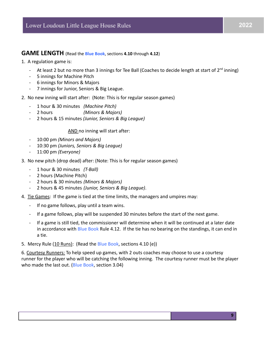#### **GAME LENGTH** (Read the **Blue Book**, sections **4.10** through **4.12**)

#### 1. A regulation game is:

- At least 2 but no more than 3 innings for Tee Ball (Coaches to decide length at start of  $2^{nd}$  inning)
- 5 innings for Machine Pitch
- 6 innings for Minors & Majors
- 7 innings for Junior, Seniors & Big League.

#### 2. No new inning will start after: (Note: This is for regular season games)

- 1 hour & 30 minutes *(Machine Pitch)*
- 2 hours *(Minors & Majors)*
- 2 hours & 15 minutes *(Junior, Seniors & Big League)*

#### AND no inning will start after:

- 10:00 pm *(Minors and Majors)*
- 10:30 pm *(Juniors, Seniors & Big League)*
- 11:00 pm *(Everyone)*
- 3. No new pitch (drop dead) after: (Note: This is for regular season games)
	- 1 hour & 30 minutes *(T-Ball)*
	- 2 hours (Machine Pitch)
	- 2 hours & 30 minutes *(Minors & Majors)*
	- 2 hours & 45 minutes *(Junior, Seniors & Big League)*.
- 4. Tie Games: If the game is tied at the time limits, the managers and umpires may:
	- If no game follows, play until a team wins.
	- If a game follows, play will be suspended 30 minutes before the start of the next game.
	- If a game is still tied, the commissioner will determine when it will be continued at a later date in accordance with Blue Book Rule 4.12. If the tie has no bearing on the standings, it can end in a tie.
- 5. Mercy Rule (10 Runs): (Read the Blue Book, sections 4.10 (e))

6. Courtesy Runners: To help speed up games, with 2 outs coaches may choose to use a courtesy runner for the player who will be catching the following inning. The courtesy runner must be the player who made the last out. (Blue Book, section 3.04)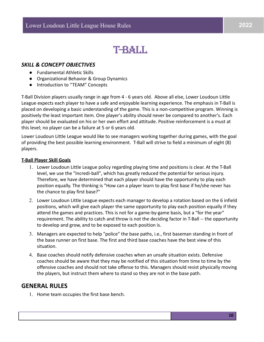## **T-BALL**

#### *SKILL & CONCEPT OBJECTIVES*

- Fundamental Athletic Skills
- Organizational Behavior & Group Dynamics
- Introduction to "TEAM" Concepts

T-Ball Division players usually range in age from 4 - 6 years old. Above all else, Lower Loudoun Little League expects each player to have a safe and enjoyable learning experience. The emphasis in T-Ball is placed on developing a basic understanding of the game. This is a non-competitive program. Winning is positively the least important item. One player's ability should never be compared to another's. Each player should be evaluated on his or her own effort and attitude. Positive reinforcement is a must at this level; no player can be a failure at 5 or 6 years old.

Lower Loudoun Little League would like to see managers working together during games, with the goal of providing the best possible learning environment. T-Ball will strive to field a minimum of eight (8) players.

#### **T-Ball Player Skill Goals**

- 1. Lower Loudoun Little League policy regarding playing time and positions is clear. At the T-Ball level, we use the "Incredi-ball", which has greatly reduced the potential for serious injury. Therefore, we have determined that each player should have the opportunity to play each position equally. The thinking is "How can a player learn to play first base if he/she never has the chance to play first base?"
- 2. Lower Loudoun Little League expects each manager to develop a rotation based on the 6 infield positions, which will give each player the same opportunity to play each position equally if they attend the games and practices. This is not for a game-by-game basis, but a "for the year" requirement. The ability to catch and throw is not the deciding factor in T-Ball -- the opportunity to develop and grow, and to be exposed to each position is.
- 3. Managers are expected to help "police" the base paths, i.e., first baseman standing in front of the base runner on first base. The first and third base coaches have the best view of this situation.
- 4. Base coaches should notify defensive coaches when an unsafe situation exists. Defensive coaches should be aware that they may be notified of this situation from time to time by the offensive coaches and should not take offense to this. Managers should resist physically moving the players, but instruct them where to stand so they are not in the base path.

#### **GENERAL RULES**

1. Home team occupies the first base bench.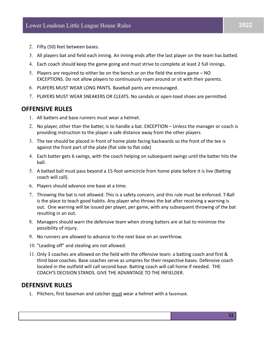- 2. Fifty (50) feet between bases.
- 3. All players bat and field each inning. An inning ends after the last player on the team has batted.
- 4. Each coach should keep the game going and must strive to complete at least 2 full innings.
- 5. Players are required to either be on the bench or on the field the entire game NO EXCEPTIONS. Do not allow players to continuously roam around or sit with their parents.
- 6. PLAYERS MUST WEAR LONG PANTS. Baseball pants are encouraged.
- 7. PLAYERS MUST WEAR SNEAKERS OR CLEATS. No sandals or open-toed shoes are permitted.

#### **OFFENSIVE RULES**

- 1. All batters and base runners must wear a helmet.
- 2. No player, other than the batter, is to handle a bat. EXCEPTION Unless the manager or coach is providing instruction to the player a safe distance away from the other players
- 3. The tee should be placed in front of home plate facing backwards so the front of the tee is against the front part of the plate (flat side to flat side)
- 4. Each batter gets 6 swings, with the coach helping on subsequent swings until the batter hits the ball.
- 5. A batted ball must pass beyond a 15-foot semicircle from home plate before it is live (Batting coach will call).
- 6. Players should advance one base at a time.
- 7. Throwing the bat is not allowed. This is a safety concern, and this rule must be enforced. T-Ball is the place to teach good habits. Any player who throws the bat after receiving a warning is out. One warning will be issued per player, per game, with any subsequent throwing of the bat resulting in an out.
- 8. Managers should warn the defensive team when strong batters are at bat to minimize the possibility of injury.
- 9. No runners are allowed to advance to the next base on an overthrow.
- 10. "Leading off" and stealing are not allowed.
- 11. Only 3 coaches are allowed on the field with the offensive team: a batting coach and first & third base coaches. Base coaches serve as umpires for their respective bases. Defensive coach located in the outfield will call second base. Batting coach will call home if needed. THE COACH'S DECISION STANDS. GIVE THE ADVANTAGE TO THE INFIELDER.

#### **DEFENSIVE RULES**

1. Pitchers, first baseman and catcher must wear a helmet with a facemask.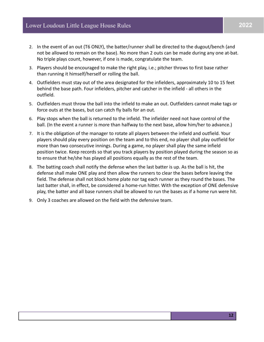- 2. In the event of an out (T6 ONLY), the batter/runner shall be directed to the dugout/bench (and not be allowed to remain on the base). No more than 2 outs can be made during any one at-bat. No triple plays count, however, if one is made, congratulate the team.
- 3. Players should be encouraged to make the right play, i.e.; pitcher throws to first base rather than running it himself/herself or rolling the ball.
- 4. Outfielders must stay out of the area designated for the infielders, approximately 10 to 15 feet behind the base path. Four infielders, pitcher and catcher in the infield - all others in the outfield.
- 5. Outfielders must throw the ball into the infield to make an out. Outfielders cannot make tags or force outs at the bases, but can catch fly balls for an out.
- 6. Play stops when the ball is returned to the infield. The infielder need not have control of the ball. (In the event a runner is more than halfway to the next base, allow him/her to advance.)
- 7. It is the obligation of the manager to rotate all players between the infield and outfield. Your players should play every position on the team and to this end, no player shall play outfield for more than two consecutive innings. During a game, no player shall play the same infield position twice. Keep records so that you track players by position played during the season so as to ensure that he/she has played all positions equally as the rest of the team.
- 8. The batting coach shall notify the defense when the last batter is up. As the ball is hit, the defense shall make ONE play and then allow the runners to clear the bases before leaving the field. The defense shall not block home plate nor tag each runner as they round the bases. The last batter shall, in effect, be considered a home-run hitter. With the exception of ONE defensive play, the batter and all base runners shall be allowed to run the bases as if a home run were hit.
- 9. Only 3 coaches are allowed on the field with the defensive team.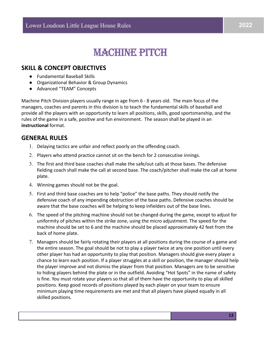## **MACHINE PITCH**

### **SKILL & CONCEPT OBJECTIVES**

- Fundamental Baseball Skills
- Organizational Behavior & Group Dynamics
- Advanced "TEAM" Concepts

Machine Pitch Division players usually range in age from 6 - 8 years old. The main focus of the managers, coaches and parents in this division is to teach the fundamental skills of baseball and provide all the players with an opportunity to learn all positions, skills, good sportsmanship, and the rules of the game in a safe, positive and fun environment. The season shall be played in an **instructional** format.

#### **GENERAL RULES**

- 1. Delaying tactics are unfair and reflect poorly on the offending coach.
- 2. Players who attend practice cannot sit on the bench for 2 consecutive innings.
- 3. The first and third base coaches shall make the safe/out calls at those bases. The defensive fielding coach shall make the call at second base. The coach/pitcher shall make the call at home plate.
- 4. Winning games should not be the goal.
- 5. First and third base coaches are to help "police" the base paths. They should notify the defensive coach of any impending obstruction of the base paths. Defensive coaches should be aware that the base coaches will be helping to keep infielders out of the base lines.
- 6. The speed of the pitching machine should not be changed during the game, except to adjust for uniformity of pitches within the strike zone, using the micro adjustment. The speed for the machine should be set to 6 and the machine should be placed approximately 42 feet from the back of home plate.
- 7. Managers should be fairly rotating their players at all positions during the course of a game and the entire season. The goal should be not to play a player twice at any one position until every other player has had an opportunity to play that position. Managers should give every player a chance to learn each position. If a player struggles at a skill or position, the manager should help the player improve and not dismiss the player from that position. Managers are to be sensitive to hiding players behind the plate or in the outfield. Avoiding "Hot Spots" in the name of safety is fine. You must rotate your players so that all of them have the opportunity to play all skilled positions. Keep good records of positions played by each player on your team to ensure minimum playing time requirements are met and that all players have played equally in all skilled positions.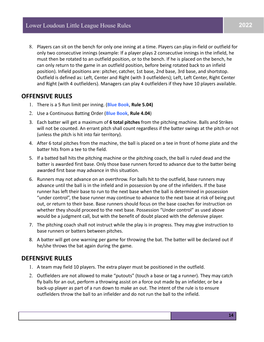8. Players can sit on the bench for only one inning at a time. Players can play in-field or outfield for only two consecutive innings (example: If a player plays 2 consecutive innings in the infield, he must then be rotated to an outfield position, or to the bench. If he is placed on the bench, he can only return to the game in an outfield position, before being rotated back to an infield position). Infield positions are: pitcher, catcher, 1st base, 2nd base, 3rd base, and shortstop. Outfield is defined as: Left, Center and Right (with 3 outfielders); Left, Left Center, Right Center and Right (with 4 outfielders). Managers can play 4 outfielders if they have 10 players available.

#### **OFFENSIVE RULES**

- 1. There is a 5 Run limit per inning. (**Blue Book**, **Rule 5.04)**
- 2. Use a Continuous Batting Order (**Blue Book**, **Rule 4.04**)
- 3. Each batter will get a maximum of **6 total pitches** from the pitching machine. Balls and Strikes will not be counted. An errant pitch shall count regardless if the batter swings at the pitch or not (unless the pitch is hit into fair territory).
- 4. After 6 total pitches from the machine, the ball is placed on a tee in front of home plate and the batter hits from a tee to the field.
- 5. If a batted ball hits the pitching machine or the pitching coach, the ball is ruled dead and the batter is awarded first base. Only those base runners forced to advance due to the batter being awarded first base may advance in this situation.
- 6. Runners may not advance on an overthrow. For balls hit to the outfield, base runners may advance until the ball is in the infield and in possession by one of the infielders. If the base runner has left their base to run to the next base when the ball is determined in possession "under control", the base runner may continue to advance to the next base at risk of being put out, or return to their base. Base runners should focus on the base coaches for instruction on whether they should proceed to the next base. Possession "Under control" as used above would be a judgment call, but with the benefit of doubt placed with the defensive player.
- 7. The pitching coach shall not instruct while the play is in progress. They may give instruction to base runners or batters between pitches.
- 8. A batter will get one warning per game for throwing the bat. The batter will be declared out if he/she throws the bat again during the game.

### **DEFENSIVE RULES**

- 1. A team may field 10 players. The extra player must be positioned in the outfield.
- 2. Outfielders are not allowed to make "putouts" (touch a base or tag a runner). They may catch fly balls for an out, perform a throwing assist on a force out made by an infielder, or be a back-up player as part of a run down to make an out. The intent of the rule is to ensure outfielders throw the ball to an infielder and do not run the ball to the infield.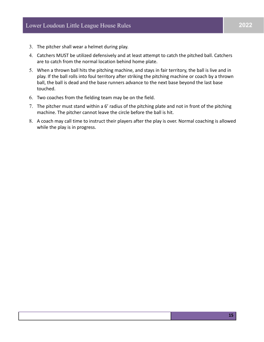- 3. The pitcher shall wear a helmet during play.
- 4. Catchers MUST be utilized defensively and at least attempt to catch the pitched ball. Catchers are to catch from the normal location behind home plate.
- 5. When a thrown ball hits the pitching machine, and stays in fair territory, the ball is live and in play. If the ball rolls into foul territory after striking the pitching machine or coach by a thrown ball, the ball is dead and the base runners advance to the next base beyond the last base touched.
- 6. Two coaches from the fielding team may be on the field.
- 7. The pitcher must stand within a 6' radius of the pitching plate and not in front of the pitching machine. The pitcher cannot leave the circle before the ball is hit.
- 8. A coach may call time to instruct their players after the play is over. Normal coaching is allowed while the play is in progress.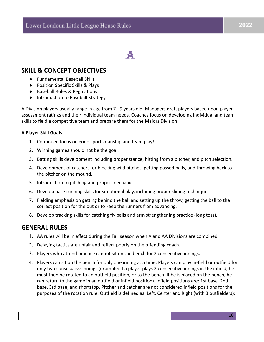## **A**

### **SKILL & CONCEPT OBJECTIVES**

- Fundamental Baseball Skills
- Position Specific Skills & Plays
- Baseball Rules & Regulations
- Introduction to Baseball Strategy

A Division players usually range in age from 7 - 9 years old. Managers draft players based upon player assessment ratings and their individual team needs. Coaches focus on developing individual and team skills to field a competitive team and prepare them for the Majors Division.

#### **A Player Skill Goals**

- 1. Continued focus on good sportsmanship and team play!
- 2. Winning games should not be the goal.
- 3. Batting skills development including proper stance, hitting from a pitcher, and pitch selection.
- 4. Development of catchers for blocking wild pitches, getting passed balls, and throwing back to the pitcher on the mound.
- 5. Introduction to pitching and proper mechanics.
- 6. Develop base running skills for situational play, including proper sliding technique.
- 7. Fielding emphasis on getting behind the ball and setting up the throw, getting the ball to the correct position for the out or to keep the runners from advancing.
- 8. Develop tracking skills for catching fly balls and arm strengthening practice (long toss).

### **GENERAL RULES**

- 1. AA rules will be in effect during the Fall season when A and AA Divisions are combined.
- 2. Delaying tactics are unfair and reflect poorly on the offending coach.
- 3. Players who attend practice cannot sit on the bench for 2 consecutive innings.
- 4. Players can sit on the bench for only one inning at a time. Players can play in-field or outfield for only two consecutive innings (example: If a player plays 2 consecutive innings in the infield, he must then be rotated to an outfield position, or to the bench. If he is placed on the bench, he can return to the game in an outfield or infield position). Infield positions are: 1st base, 2nd base, 3rd base, and shortstop. Pitcher and catcher are not considered infield positions for the purposes of the rotation rule. Outfield is defined as: Left, Center and Right (with 3 outfielders);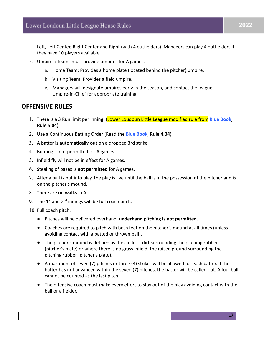Left, Left Center, Right Center and Right (with 4 outfielders). Managers can play 4 outfielders if they have 10 players available.

- 5. Umpires: Teams must provide umpires for A games.
	- a. Home Team: Provides a home plate (located behind the pitcher) umpire.
	- b. Visiting Team: Provides a field umpire.
	- c. Managers will designate umpires early in the season, and contact the league Umpire-in-Chief for appropriate training.

#### **OFFENSIVE RULES**

- 1. There is a 3 Run limit per inning. (Lower Loudoun Little League modified rule from **Blue Book**, **Rule 5.04)**
- 2. Use a Continuous Batting Order (Read the **Blue Book**, **Rule 4.04**)
- 3. A batter is **automatically out** on a dropped 3rd strike.
- 4. Bunting is not permitted for A games.
- 5. Infield fly will not be in effect for A games.
- 6. Stealing of bases is **not permitted** for A games.
- 7. After a ball is put into play, the play is live until the ball is in the possession of the pitcher and is on the pitcher's mound.
- 8. There are **no walks** in A.
- 9. The  $1^{st}$  and  $2^{nd}$  innings will be full coach pitch.
- 10. Full coach pitch.
	- Pitches will be delivered overhand, **underhand pitching is not permitted**.
	- Coaches are required to pitch with both feet on the pitcher's mound at all times (unless avoiding contact with a batted or thrown ball).
	- The pitcher's mound is defined as the circle of dirt surrounding the pitching rubber (pitcher's plate) or where there is no grass infield, the raised ground surrounding the pitching rubber (pitcher's plate).
	- A maximum of seven (7) pitches or three (3) strikes will be allowed for each batter. If the batter has not advanced within the seven (7) pitches, the batter will be called out. A foul ball cannot be counted as the last pitch.
	- The offensive coach must make every effort to stay out of the play avoiding contact with the ball or a fielder.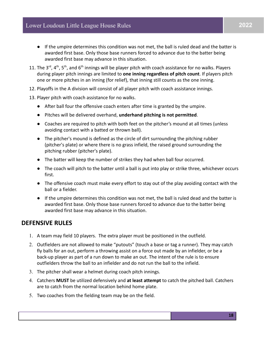- If the umpire determines this condition was not met, the ball is ruled dead and the batter is awarded first base. Only those base runners forced to advance due to the batter being awarded first base may advance in this situation.
- 11. The 3<sup>rd</sup>, 4<sup>th</sup>, 5<sup>th</sup>, and 6<sup>th</sup> innings will be player pitch with coach assistance for no walks. Players during player pitch innings are limited to **one inning regardless of pitch count**. If players pitch one or more pitches in an inning (for relief), that inning still counts as the one inning.
- 12. Playoffs in the A division will consist of all player pitch with coach assistance innings.
- 13. Player pitch with coach assistance for no walks.
	- After ball four the offensive coach enters after time is granted by the umpire.
	- Pitches will be delivered overhand, **underhand pitching is not permitted**.
	- Coaches are required to pitch with both feet on the pitcher's mound at all times (unless avoiding contact with a batted or thrown ball).
	- The pitcher's mound is defined as the circle of dirt surrounding the pitching rubber (pitcher's plate) or where there is no grass infield, the raised ground surrounding the pitching rubber (pitcher's plate).
	- The batter will keep the number of strikes they had when ball four occurred.
	- The coach will pitch to the batter until a ball is put into play or strike three, whichever occurs first.
	- The offensive coach must make every effort to stay out of the play avoiding contact with the ball or a fielder.
	- If the umpire determines this condition was not met, the ball is ruled dead and the batter is awarded first base. Only those base runners forced to advance due to the batter being awarded first base may advance in this situation.

### **DEFENSIVE RULES**

- 1. A team may field 10 players. The extra player must be positioned in the outfield.
- 2. Outfielders are not allowed to make "putouts" (touch a base or tag a runner). They may catch fly balls for an out, perform a throwing assist on a force out made by an infielder, or be a back-up player as part of a run down to make an out. The intent of the rule is to ensure outfielders throw the ball to an infielder and do not run the ball to the infield.
- 3. The pitcher shall wear a helmet during coach pitch innings.
- 4. Catchers **MUST** be utilized defensively and **at least attempt** to catch the pitched ball. Catchers are to catch from the normal location behind home plate.
- 5. Two coaches from the fielding team may be on the field.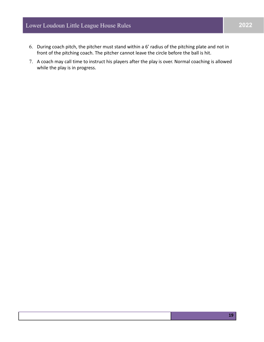### Lower Loudoun Little League House Rules

- 6. During coach pitch, the pitcher must stand within a 6' radius of the pitching plate and not in front of the pitching coach. The pitcher cannot leave the circle before the ball is hit.
- 7. A coach may call time to instruct his players after the play is over. Normal coaching is allowed while the play is in progress.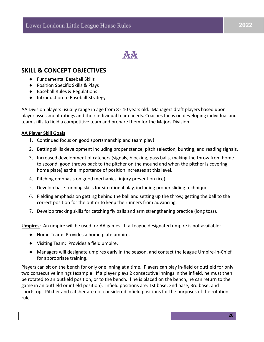**AA** 

### **SKILL & CONCEPT OBJECTIVES**

- Fundamental Baseball Skills
- Position Specific Skills & Plays
- Baseball Rules & Regulations
- Introduction to Baseball Strategy

AA Division players usually range in age from 8 - 10 years old. Managers draft players based upon player assessment ratings and their individual team needs. Coaches focus on developing individual and team skills to field a competitive team and prepare them for the Majors Division.

#### **AA Player Skill Goals**

- 1. Continued focus on good sportsmanship and team play!
- 2. Batting skills development including proper stance, pitch selection, bunting, and reading signals.
- 3. Increased development of catchers (signals, blocking, pass balls, making the throw from home to second, good throws back to the pitcher on the mound and when the pitcher is covering home plate) as the importance of position increases at this level.
- 4. Pitching emphasis on good mechanics, injury prevention (ice).
- 5. Develop base running skills for situational play, including proper sliding technique.
- 6. Fielding emphasis on getting behind the ball and setting up the throw, getting the ball to the correct position for the out or to keep the runners from advancing.
- 7. Develop tracking skills for catching fly balls and arm strengthening practice (long toss).

**Umpires**: An umpire will be used for AA games. If a League designated umpire is not available:

- Home Team: Provides a home plate umpire.
- Visiting Team: Provides a field umpire.
- Managers will designate umpires early in the season, and contact the league Umpire-in-Chief for appropriate training.

Players can sit on the bench for only one inning at a time. Players can play in-field or outfield for only two consecutive innings (example: If a player plays 2 consecutive innings in the infield, he must then be rotated to an outfield position, or to the bench. If he is placed on the bench, he can return to the game in an outfield or infield position). Infield positions are: 1st base, 2nd base, 3rd base, and shortstop. Pitcher and catcher are not considered infield positions for the purposes of the rotation rule.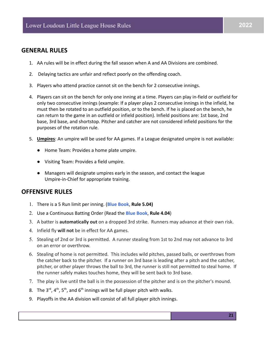#### **GENERAL RULES**

- 1. AA rules will be in effect during the fall season when A and AA Divisions are combined.
- 2. Delaying tactics are unfair and reflect poorly on the offending coach.
- 3. Players who attend practice cannot sit on the bench for 2 consecutive innings.
- 4. Players can sit on the bench for only one inning at a time. Players can play in-field or outfield for only two consecutive innings (example: If a player plays 2 consecutive innings in the infield, he must then be rotated to an outfield position, or to the bench. If he is placed on the bench, he can return to the game in an outfield or infield position). Infield positions are: 1st base, 2nd base, 3rd base, and shortstop. Pitcher and catcher are not considered infield positions for the purposes of the rotation rule.
- 5. **Umpires**: An umpire will be used for AA games. If a League designated umpire is not available:
	- Home Team: Provides a home plate umpire.
	- Visiting Team: Provides a field umpire.
	- Managers will designate umpires early in the season, and contact the league Umpire-in-Chief for appropriate training.

#### **OFFENSIVE RULES**

- 1. There is a 5 Run limit per inning. (**Blue Book**, **Rule 5.04)**
- 2. Use a Continuous Batting Order (Read the **Blue Book**, **Rule 4.04**)
- 3. A batter is **automatically out** on a dropped 3rd strike. Runners may advance at their own risk.
- 4. Infield fly **will not** be in effect for AA games.
- 5. Stealing of 2nd or 3rd is permitted. A runner stealing from 1st to 2nd may not advance to 3rd on an error or overthrow.
- 6. Stealing of home is not permitted. This includes wild pitches, passed balls, or overthrows from the catcher back to the pitcher. If a runner on 3rd base is leading after a pitch and the catcher, pitcher, or other player throws the ball to 3rd, the runner is still not permitted to steal home. If the runner safely makes touches home, they will be sent back to 3rd base.
- 7. The play is live until the ball is in the possession of the pitcher and is on the pitcher's mound.
- 8. The  $3^{rd}$ ,  $4^{th}$ ,  $5^{th}$ , and  $6^{th}$  innings will be full player pitch with walks.
- 9. Playoffs in the AA division will consist of all full player pitch innings.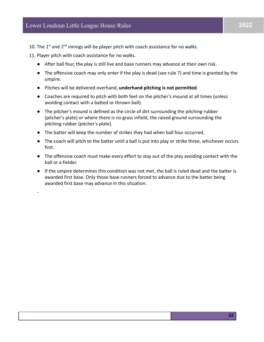**22**

- 10. The  $1<sup>st</sup>$  and  $2<sup>nd</sup>$  innings will be player pitch with coach assistance for no walks.
- 11. Player pitch with coach assistance for no walks.

-

- After ball four, the play is still live and base runners may advance at their own risk.
- The offensive coach may only enter if the play is dead (see rule 7) and time is granted by the umpire.
- Pitches will be delivered overhand, **underhand pitching is not permitted**.
- Coaches are required to pitch with both feet on the pitcher's mound at all times (unless avoiding contact with a batted or thrown ball).
- The pitcher's mound is defined as the circle of dirt surrounding the pitching rubber (pitcher's plate) or where there is no grass infield, the raised ground surrounding the pitching rubber (pitcher's plate).
- The batter will keep the number of strikes they had when ball four occurred.
- The coach will pitch to the batter until a ball is put into play or strike three, whichever occurs first.
- The offensive coach must make every effort to stay out of the play avoiding contact with the ball or a fielder.
- If the umpire determines this condition was not met, the ball is ruled dead and the batter is awarded first base. Only those base runners forced to advance due to the batter being awarded first base may advance in this situation.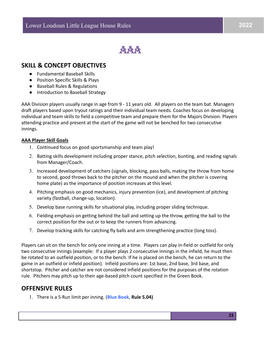

#### **SKILL & CONCEPT OBJECTIVES**

- Fundamental Baseball Skills
- Position Specific Skills & Plays
- Baseball Rules & Regulations
- Introduction to Baseball Strategy

AAA Division players usually range in age from 9 - 11 years old. All players on the team bat. Managers draft players based upon tryout ratings and their individual team needs. Coaches focus on developing individual and team skills to field a competitive team and prepare them for the Majors Division. Players attending practice and present at the start of the game will not be benched for two consecutive innings.

#### **AAA Player Skill Goals**

- 1. Continued focus on good sportsmanship and team play!
- 2. Batting skills development including proper stance, pitch selection, bunting, and reading signals from Manager/Coach.
- 3. Increased development of catchers (signals, blocking, pass balls, making the throw from home to second, good throws back to the pitcher on the mound and when the pitcher is covering home plate) as the importance of position increases at this level.
- 4. Pitching emphasis on good mechanics, injury prevention (ice), and development of pitching variety (fastball, change-up, location).
- 5. Develop base running skills for situational play, including proper sliding technique.
- 6. Fielding emphasis on getting behind the ball and setting up the throw, getting the ball to the correct position for the out or to keep the runners from advancing.
- 7. Develop tracking skills for catching fly balls and arm strengthening practice (long toss).

Players can sit on the bench for only one inning at a time. Players can play in-field or outfield for only two consecutive innings (example: If a player plays 2 consecutive innings in the infield, he must then be rotated to an outfield position, or to the bench. If he is placed on the bench, he can return to the game in an outfield or infield position). Infield positions are: 1st base, 2nd base, 3rd base, and shortstop. Pitcher and catcher are not considered infield positions for the purposes of the rotation rule. Pitchers may pitch up to their age-based pitch count specified in the Green Book.

#### **OFFENSIVE RULES**

1. There is a 5 Run limit per inning. (**Blue Book**, **Rule 5.04)**

2022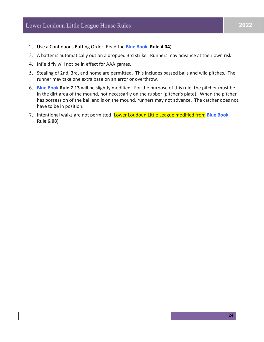- 2. Use a Continuous Batting Order (Read the **Blue Book**, **Rule 4.04**)
- 3. A batter is automatically out on a dropped 3rd strike. Runners may advance at their own risk.
- 4. Infield fly will not be in effect for AAA games.
- 5. Stealing of 2nd, 3rd, and home are permitted. This includes passed balls and wild pitches. The runner may take one extra base on an error or overthrow.
- 6. **Blue Book Rule 7.13** will be slightly modified. For the purpose of this rule, the pitcher must be in the dirt area of the mound, not necessarily on the rubber (pitcher's plate). When the pitcher has possession of the ball and is on the mound, runners may not advance. The catcher does not have to be in position.
- 7. Intentional walks are not permitted (Lower Loudoun Little League modified from **Blue Book Rule 6.08**).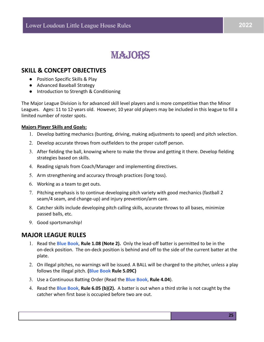## **MAJORS**

### **SKILL & CONCEPT OBJECTIVES**

- Position Specific Skills & Play
- Advanced Baseball Strategy
- Introduction to Strength & Conditioning

The Major League Division is for advanced skill level players and is more competitive than the Minor Leagues. Ages: 11 to 12-years old. However, 10 year old players may be included in this league to fill a limited number of roster spots.

#### **Majors Player Skills and Goals:**

- 1. Develop batting mechanics (bunting, driving, making adjustments to speed) and pitch selection.
- 2. Develop accurate throws from outfielders to the proper cutoff person.
- 3. After fielding the ball, knowing where to make the throw and getting it there. Develop fielding strategies based on skills.
- 4. Reading signals from Coach/Manager and implementing directives.
- 5. Arm strengthening and accuracy through practices (long toss).
- 6. Working as a team to get outs.
- 7. Pitching emphasis is to continue developing pitch variety with good mechanics (fastball 2 seam/4 seam, and change-up) and injury prevention/arm care.
- 8. Catcher skills include developing pitch calling skills, accurate throws to all bases, minimize passed balls, etc.
- 9. Good sportsmanship!

#### **MAJOR LEAGUE RULES**

- 1. Read the **Blue Book**, **Rule 1.08 (Note 2).** Only the lead-off batter is permitted to be in the on-deck position. The on-deck position is behind and off to the side of the current batter at the plate.
- 2. On illegal pitches, no warnings will be issued. A BALL will be charged to the pitcher, unless a play follows the illegal pitch. **(Blue Book Rule 5.09C)**
- 3. Use a Continuous Batting Order (Read the **Blue Book**, **Rule 4.04**).
- 4. Read the **Blue Book**, **Rule 6.05 (b)(2).** A batter is out when a third strike is not caught by the catcher when first base is occupied before two are out.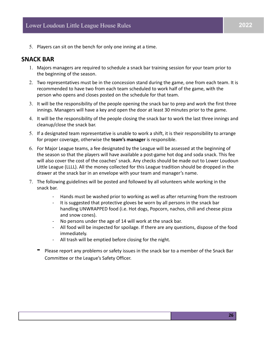5. Players can sit on the bench for only one inning at a time.

#### **SNACK BAR**

- 1. Majors managers are required to schedule a snack bar training session for your team prior to the beginning of the season.
- 2. Two representatives must be in the concession stand during the game, one from each team. It is recommended to have two from each team scheduled to work half of the game, with the person who opens and closes posted on the schedule for that team.
- 3. It will be the responsibility of the people opening the snack bar to prep and work the first three innings. Managers will have a key and open the door at least 30 minutes prior to the game.
- 4. It will be the responsibility of the people closing the snack bar to work the last three innings and cleanup/close the snack bar.
- 5. If a designated team representative is unable to work a shift, it is their responsibility to arrange for proper coverage, otherwise the **team's manager** is responsible.
- 6. For Major League teams, a fee designated by the League will be assessed at the beginning of the season so that the players will have available a post-game hot dog and soda snack. This fee will also cover the cost of the coaches' snack. Any checks should be made out to Lower Loudoun Little League (LLLL). All the money collected for this League tradition should be dropped in the drawer at the snack bar in an envelope with your team and manager's name.
- 7. The following guidelines will be posted and followed by all volunteers while working in the snack bar.
	- Hands must be washed prior to working as well as after returning from the restroom
	- It is suggested that protective gloves be worn by all persons in the snack bar handling UNWRAPPED food (i.e. Hot dogs, Popcorn, nachos, chili and cheese pizza and snow cones).
	- No persons under the age of 14 will work at the snack bar.
	- All food will be inspected for spoilage. If there are any questions, dispose of the food immediately.
	- All trash will be emptied before closing for the night.
	- **-** Please report any problems or safety issues in the snack bar to a member of the Snack Bar Committee or the League's Safety Officer.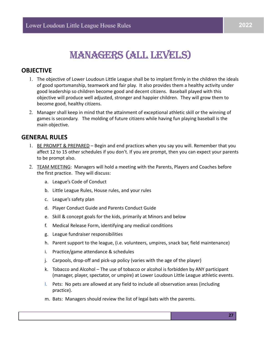## MANAGERS (ALL LEVELS)

### **OBJECTIVE**

- 1. The objective of Lower Loudoun Little League shall be to implant firmly in the children the ideals of good sportsmanship, teamwork and fair play. It also provides them a healthy activity under good leadership so children become good and decent citizens. Baseball played with this objective will produce well adjusted, stronger and happier children. They will grow them to become good, healthy citizens.
- 2. Manager shall keep in mind that the attainment of exceptional athletic skill or the winning of games is secondary. The molding of future citizens while having fun playing baseball is the main objective.

#### **GENERAL RULES**

- 1. BE PROMPT & PREPARED Begin and end practices when you say you will. Remember that you affect 12 to 15 other schedules if you don't. If you are prompt, then you can expect your parents to be prompt also.
- 2. TEAM MEETING: Managers will hold a meeting with the Parents, Players and Coaches before the first practice. They will discuss:
	- a. League's Code of Conduct
	- b. Little League Rules, House rules, and your rules
	- c. League's safety plan
	- d. Player Conduct Guide and Parents Conduct Guide
	- e. Skill & concept goals for the kids, primarily at Minors and below
	- f. Medical Release Form, identifying any medical conditions
	- g. League fundraiser responsibilities
	- h. Parent support to the league, (i.e. volunteers, umpires, snack bar, field maintenance)
	- i. Practice/game attendance & schedules
	- j. Carpools, drop-off and pick-up policy (varies with the age of the player)
	- k. Tobacco and Alcohol The use of tobacco or alcohol is forbidden by ANY participant (manager, player, spectator, or umpire) at Lower Loudoun Little League athletic events.
	- l. Pets: No pets are allowed at any field to include all observation areas (including practice).
	- m. Bats: Managers should review the list of legal bats with the parents.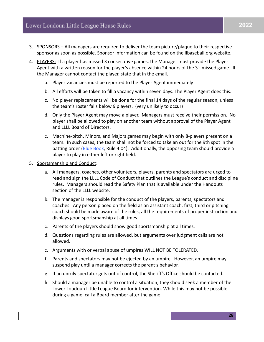- 3. SPONSORS All managers are required to deliver the team picture/plaque to their respective sponsor as soon as possible. Sponsor information can be found on the llbaseball.org website.
- 4. PLAYERS: If a player has missed 3 consecutive games, the Manager must provide the Player Agent with a written reason for the player's absence within 24 hours of the  $3<sup>rd</sup>$  missed game. If the Manager cannot contact the player, state that in the email.
	- a. Player vacancies must be reported to the Player Agent immediately
	- b. All efforts will be taken to fill a vacancy within seven days. The Player Agent does this.
	- c. No player replacements will be done for the final 14 days of the regular season, unless the team's roster falls below 9 players. (very unlikely to occur)
	- d. Only the Player Agent may move a player. Managers must receive their permission. No player shall be allowed to play on another team without approval of the Player Agent and LLLL Board of Directors.
	- e. Machine-pitch, Minors, and Majors games may begin with only 8-players present on a team. In such cases, the team shall not be forced to take an out for the 9th spot in the batting order (Blue Book, Rule 4.04). Additionally, the opposing team should provide a player to play in either left or right field.
- 5. Sportsmanship and Conduct:
	- a. All managers, coaches, other volunteers, players, parents and spectators are urged to read and sign the LLLL Code of Conduct that outlines the League's conduct and discipline rules. Managers should read the Safety Plan that is available under the Handouts section of the LLLL website.
	- b. The manager is responsible for the conduct of the players, parents, spectators and coaches. Any person placed on the field as an assistant coach, first, third or pitching coach should be made aware of the rules, all the requirements of proper instruction and displays good sportsmanship at all times.
	- c. Parents of the players should show good sportsmanship at all times.
	- d. Questions regarding rules are allowed, but arguments over judgment calls are not allowed.
	- e. Arguments with or verbal abuse of umpires WILL NOT BE TOLERATED.
	- f. Parents and spectators may not be ejected by an umpire. However, an umpire may suspend play until a manager corrects the parent's behavior.
	- g. If an unruly spectator gets out of control, the Sheriff's Office should be contacted.
	- h. Should a manager be unable to control a situation, they should seek a member of the Lower Loudoun Little League Board for intervention. While this may not be possible during a game, call a Board member after the game.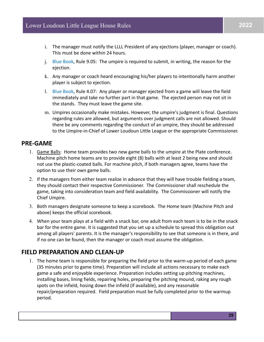- i. The manager must notify the LLLL President of any ejections (player, manager or coach). This must be done within 24 hours.
- j. Blue Book, Rule 9.05: The umpire is required to submit, in writing, the reason for the ejection.
- k. Any manager or coach heard encouraging his/her players to intentionally harm another player is subject to ejection.
- l. Blue Book, Rule 4.07: Any player or manager ejected from a game will leave the field immediately and take no further part in that game. The ejected person may not sit in the stands. They must leave the game site.
- m. Umpires occasionally make mistakes. However, the umpire's judgment is final. Questions regarding rules are allowed, but arguments over judgment calls are not allowed. Should there be any comments regarding the conduct of an umpire, they should be addressed to the Umpire-in-Chief of Lower Loudoun Little League or the appropriate Commissioner.

#### **PRE-GAME**

- 1. Game Balls: Home team provides two new game balls to the umpire at the Plate conference. Machine pitch home teams are to provide eight (8) balls with at least 2 being new and should not use the plastic-coated balls. For machine pitch, if both managers agree, teams have the option to use their own game balls.
- 2. If the managers from either team realize in advance that they will have trouble fielding a team, they should contact their respective Commissioner. The Commissioner shall reschedule the game, taking into consideration team and field availability. The Commissioner will notify the Chief Umpire.
- 3. Both managers designate someone to keep a scorebook. The Home team (Machine Pitch and above) keeps the official scorebook.
- 4. When your team plays at a field with a snack bar, one adult from each team is to be in the snack bar for the entire game. It is suggested that you set up a schedule to spread this obligation out among all players' parents. It is the manager's responsibility to see that someone is in there, and if no one can be found, then the manager or coach must assume the obligation.

### **FIELD PREPARATION AND CLEAN-UP**

1. The home team is responsible for preparing the field prior to the warm-up period of each game (35 minutes prior to game time). Preparation will include all actions necessary to make each game a safe and enjoyable experience. Preparation includes setting up pitching machines, installing bases, lining fields, repairing holes, preparing the pitching mound, raking any rough spots on the infield, hosing down the infield (if available), and any reasonable repair/preparation required. Field preparation must be fully completed prior to the warmup period.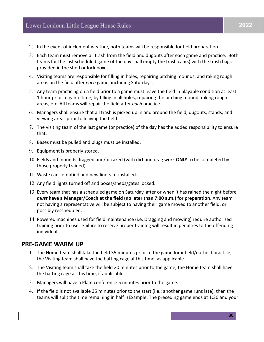- 2. In the event of inclement weather, both teams will be responsible for field preparation.
- 3. Each team must remove all trash from the field and dugouts after each game and practice. Both teams for the last scheduled game of the day shall empty the trash can(s) with the trash bags provided in the shed or lock boxes.
- 4. Visiting teams are responsible for filling in holes, repairing pitching mounds, and raking rough areas on the field after *each* game, including Saturdays.
- 5. Any team practicing on a field prior to a game must leave the field in playable condition at least 1 hour prior to game time, by filling in all holes, repairing the pitching mound, raking rough areas, etc. All teams will repair the field after *each* practice.
- 6. Managers shall ensure that all trash is picked up in and around the field, dugouts, stands, and viewing areas prior to leaving the field.
- 7. The visiting team of the last game (or practice) of the day has the added responsibility to ensure that:
- 8. Bases must be pulled and plugs must be installed.
- 9. Equipment is properly stored.
- 10. Fields and mounds dragged and/or raked (with dirt and drag work **ONLY** to be completed by those properly trained).
- 11. Waste cans emptied and new liners re-installed.
- 12. Any field lights turned off and boxes/sheds/gates locked.
- 13. Every team that has a scheduled game on Saturday, after or when it has rained the night before, *must* **have a Manager/Coach at the field (no later than 7:00 a.m.) for preparation**. Any team not having a representative will be subject to having their game moved to another field, or possibly rescheduled.
- 14. Powered machines used for field maintenance (i.e. Dragging and mowing) require authorized training prior to use. Failure to receive proper training will result in penalties to the offending individual.

#### **PRE-GAME WARM UP**

- 1. The Home team shall take the field 35 minutes prior to the game for infield/outfield practice; the Visiting team shall have the batting cage at this time, as applicable
- 2. The Visiting team shall take the field 20 minutes prior to the game; the Home team shall have the batting cage at this time, if applicable.
- 3. Managers will have a Plate conference 5 minutes prior to the game.
- 4. If the field is not available 35 minutes prior to the start (i.e.: another game runs late), then the teams will split the time remaining in half. (Example: The preceding game ends at 1:30 and your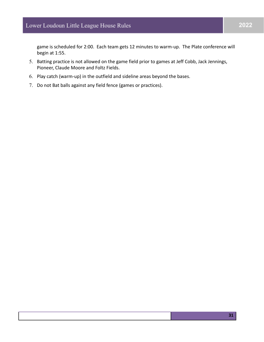game is scheduled for 2:00. Each team gets 12 minutes to warm-up. The Plate conference will begin at 1:55.

- 5. Batting practice is not allowed on the game field prior to games at Jeff Cobb, Jack Jennings, Pioneer, Claude Moore and Foltz Fields.
- 6. Play catch (warm-up) in the outfield and sideline areas beyond the bases.
- 7. Do not Bat balls against any field fence (games or practices).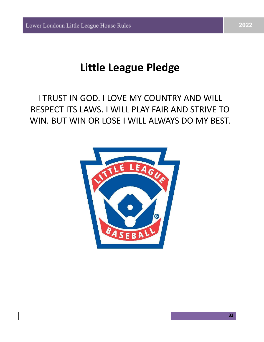## **Little League Pledge**

## I TRUST IN GOD. I LOVE MY COUNTRY AND WILL RESPECT ITS LAWS. I WILL PLAY FAIR AND STRIVE TO WIN. BUT WIN OR LOSE I WILL ALWAYS DO MY BEST.